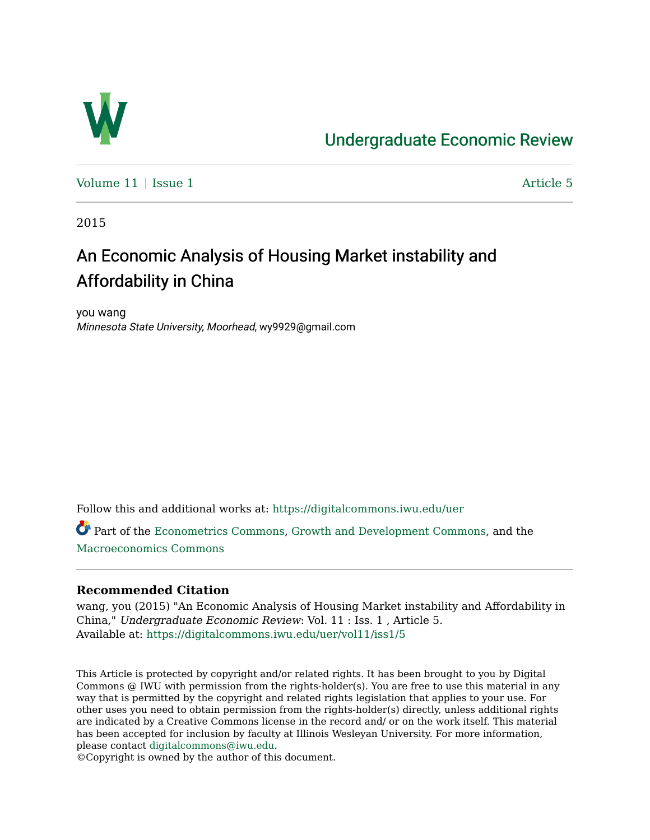

# [Undergraduate Economic Review](https://digitalcommons.iwu.edu/uer)

[Volume 11](https://digitalcommons.iwu.edu/uer/vol11) | [Issue 1](https://digitalcommons.iwu.edu/uer/vol11/iss1) Article 5

2015

# An Economic Analysis of Housing Market instability and Affordability in China

you wang Minnesota State University, Moorhead, wy9929@gmail.com

Follow this and additional works at: [https://digitalcommons.iwu.edu/uer](https://digitalcommons.iwu.edu/uer?utm_source=digitalcommons.iwu.edu%2Fuer%2Fvol11%2Fiss1%2F5&utm_medium=PDF&utm_campaign=PDFCoverPages)

Part of the [Econometrics Commons](http://network.bepress.com/hgg/discipline/342?utm_source=digitalcommons.iwu.edu%2Fuer%2Fvol11%2Fiss1%2F5&utm_medium=PDF&utm_campaign=PDFCoverPages), [Growth and Development Commons,](http://network.bepress.com/hgg/discipline/346?utm_source=digitalcommons.iwu.edu%2Fuer%2Fvol11%2Fiss1%2F5&utm_medium=PDF&utm_campaign=PDFCoverPages) and the [Macroeconomics Commons](http://network.bepress.com/hgg/discipline/350?utm_source=digitalcommons.iwu.edu%2Fuer%2Fvol11%2Fiss1%2F5&utm_medium=PDF&utm_campaign=PDFCoverPages)

#### **Recommended Citation**

wang, you (2015) "An Economic Analysis of Housing Market instability and Affordability in China," Undergraduate Economic Review: Vol. 11 : Iss. 1 , Article 5. Available at: [https://digitalcommons.iwu.edu/uer/vol11/iss1/5](https://digitalcommons.iwu.edu/uer/vol11/iss1/5?utm_source=digitalcommons.iwu.edu%2Fuer%2Fvol11%2Fiss1%2F5&utm_medium=PDF&utm_campaign=PDFCoverPages)

This Article is protected by copyright and/or related rights. It has been brought to you by Digital Commons @ IWU with permission from the rights-holder(s). You are free to use this material in any way that is permitted by the copyright and related rights legislation that applies to your use. For other uses you need to obtain permission from the rights-holder(s) directly, unless additional rights are indicated by a Creative Commons license in the record and/ or on the work itself. This material has been accepted for inclusion by faculty at Illinois Wesleyan University. For more information, please contact [digitalcommons@iwu.edu.](mailto:digitalcommons@iwu.edu)

©Copyright is owned by the author of this document.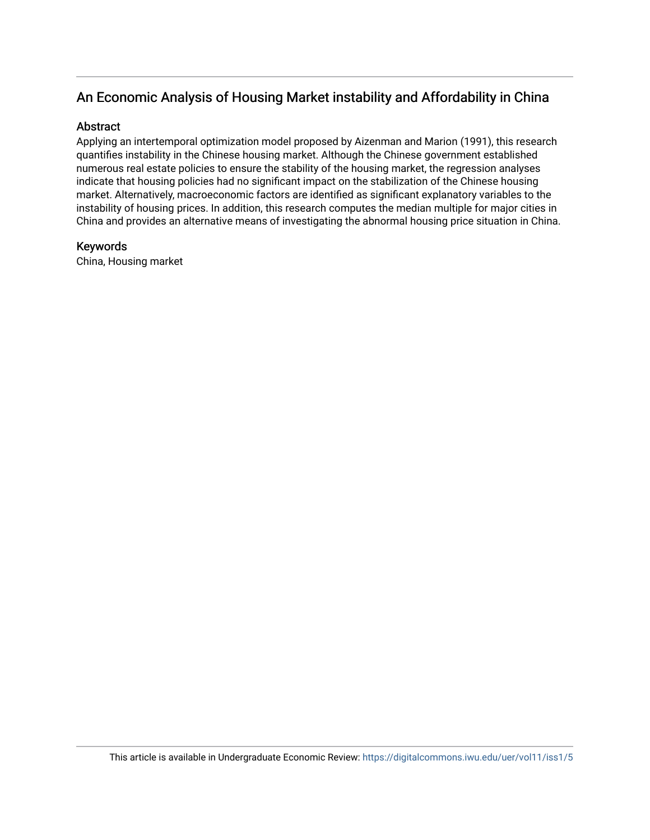# An Economic Analysis of Housing Market instability and Affordability in China

#### **Abstract**

Applying an intertemporal optimization model proposed by Aizenman and Marion (1991), this research quantifies instability in the Chinese housing market. Although the Chinese government established numerous real estate policies to ensure the stability of the housing market, the regression analyses indicate that housing policies had no significant impact on the stabilization of the Chinese housing market. Alternatively, macroeconomic factors are identified as significant explanatory variables to the instability of housing prices. In addition, this research computes the median multiple for major cities in China and provides an alternative means of investigating the abnormal housing price situation in China.

#### Keywords

China, Housing market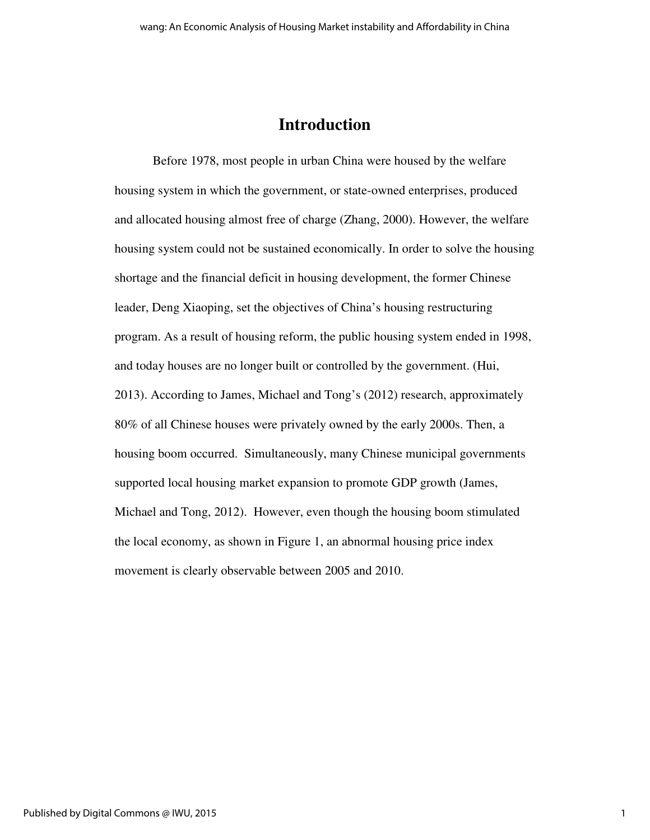# **Introduction**

 Before 1978, most people in urban China were housed by the welfare housing system in which the government, or state-owned enterprises, produced and allocated housing almost free of charge (Zhang, 2000). However, the welfare housing system could not be sustained economically. In order to solve the housing shortage and the financial deficit in housing development, the former Chinese leader, Deng Xiaoping, set the objectives of China's housing restructuring program. As a result of housing reform, the public housing system ended in 1998, and today houses are no longer built or controlled by the government. (Hui, 2013). According to James, Michael and Tong's (2012) research, approximately 80% of all Chinese houses were privately owned by the early 2000s. Then, a housing boom occurred. Simultaneously, many Chinese municipal governments supported local housing market expansion to promote GDP growth (James, Michael and Tong, 2012). However, even though the housing boom stimulated the local economy, as shown in Figure 1, an abnormal housing price index movement is clearly observable between 2005 and 2010.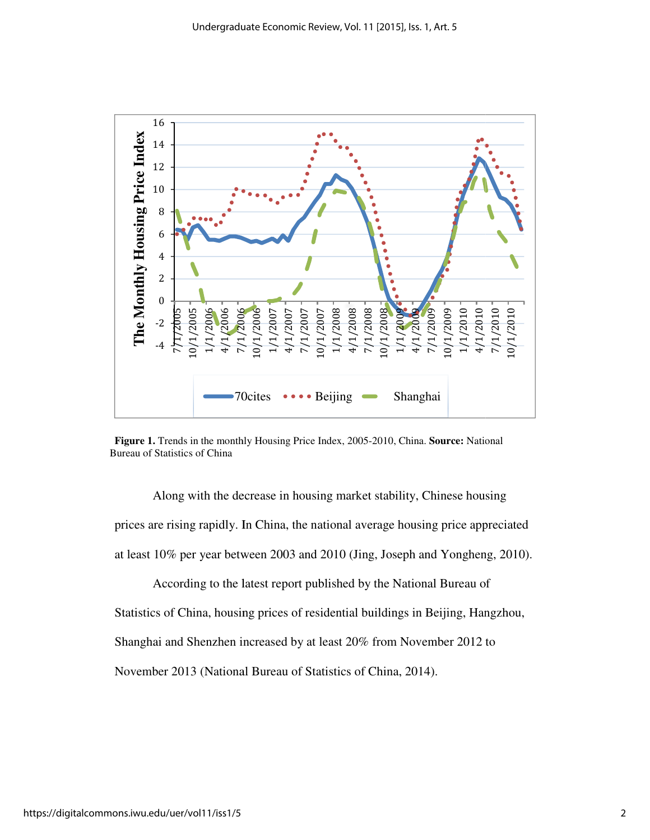

**Figure 1.** Trends in the monthly Housing Price Index, 2005 Price Index, 2005-2010, China. **Source:** National Bureau of Statistics of China

Along with the decrease in housing market stability, Chinese housing prices are rising rapidly. In China, the national average housing price appreciated<br>at least 10% per year between 2003 and 2010 (Jing, Joseph and Yongheng, 2010).<br>According to the latest report published by the National Bu at least 10% per year between 2003 and 2010 (Jing, Joseph and Yongheng, 2010).

According to the latest report published by the National Bureau of Statistics of China, housing prices of residential buildings in Beijing, Hangzhou, Shanghai and Shenzhen increased by at least 20% from November 2012 to November 2013 (National Bureau of Statistics of China, 2014).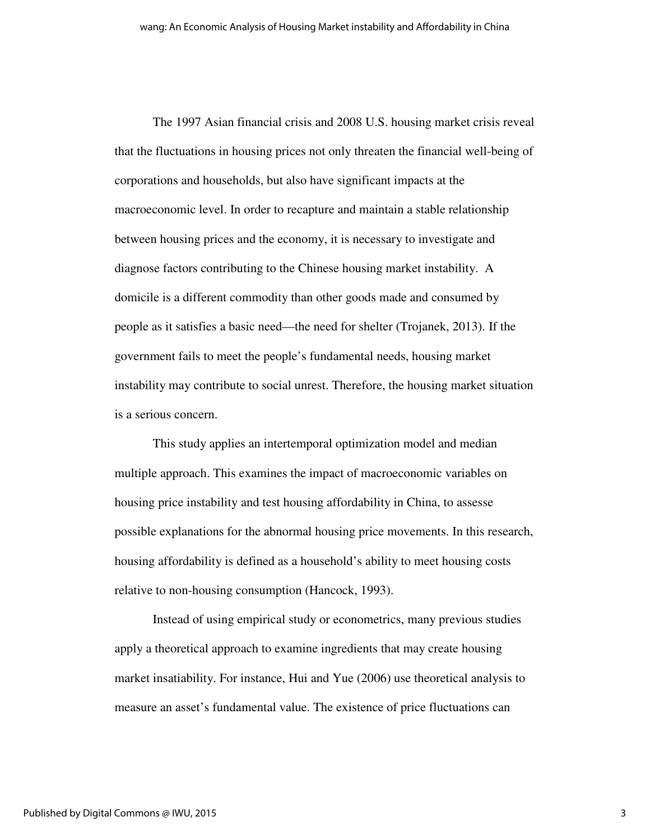The 1997 Asian financial crisis and 2008 U.S. housing market crisis reveal that the fluctuations in housing prices not only threaten the financial well-being of corporations and households, but also have significant impacts at the macroeconomic level. In order to recapture and maintain a stable relationship between housing prices and the economy, it is necessary to investigate and diagnose factors contributing to the Chinese housing market instability. A domicile is a different commodity than other goods made and consumed by people as it satisfies a basic need—the need for shelter (Trojanek, 2013). If the government fails to meet the people's fundamental needs, housing market instability may contribute to social unrest. Therefore, the housing market situation is a serious concern.

This study applies an intertemporal optimization model and median multiple approach. This examines the impact of macroeconomic variables on housing price instability and test housing affordability in China, to assesse possible explanations for the abnormal housing price movements. In this research, housing affordability is defined as a household's ability to meet housing costs relative to non-housing consumption (Hancock, 1993).

Instead of using empirical study or econometrics, many previous studies apply a theoretical approach to examine ingredients that may create housing market insatiability. For instance, Hui and Yue (2006) use theoretical analysis to measure an asset's fundamental value. The existence of price fluctuations can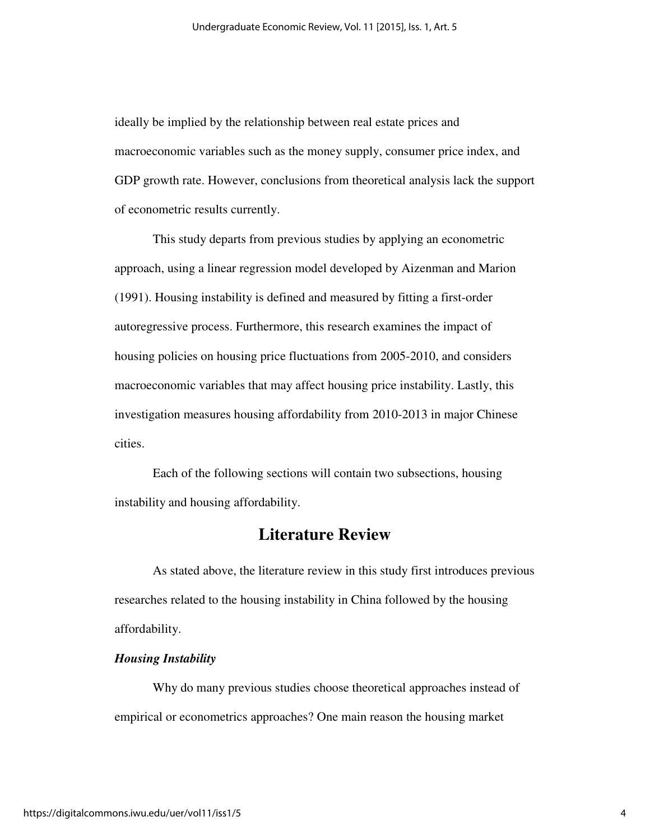ideally be implied by the relationship between real estate prices and macroeconomic variables such as the money supply, consumer price index, and GDP growth rate. However, conclusions from theoretical analysis lack the support of econometric results currently.

 This study departs from previous studies by applying an econometric approach, using a linear regression model developed by Aizenman and Marion (1991). Housing instability is defined and measured by fitting a first-order autoregressive process. Furthermore, this research examines the impact of housing policies on housing price fluctuations from 2005-2010, and considers macroeconomic variables that may affect housing price instability. Lastly, this investigation measures housing affordability from 2010-2013 in major Chinese cities.

Each of the following sections will contain two subsections, housing instability and housing affordability.

## **Literature Review**

 As stated above, the literature review in this study first introduces previous researches related to the housing instability in China followed by the housing affordability.

#### *Housing Instability*

 Why do many previous studies choose theoretical approaches instead of empirical or econometrics approaches? One main reason the housing market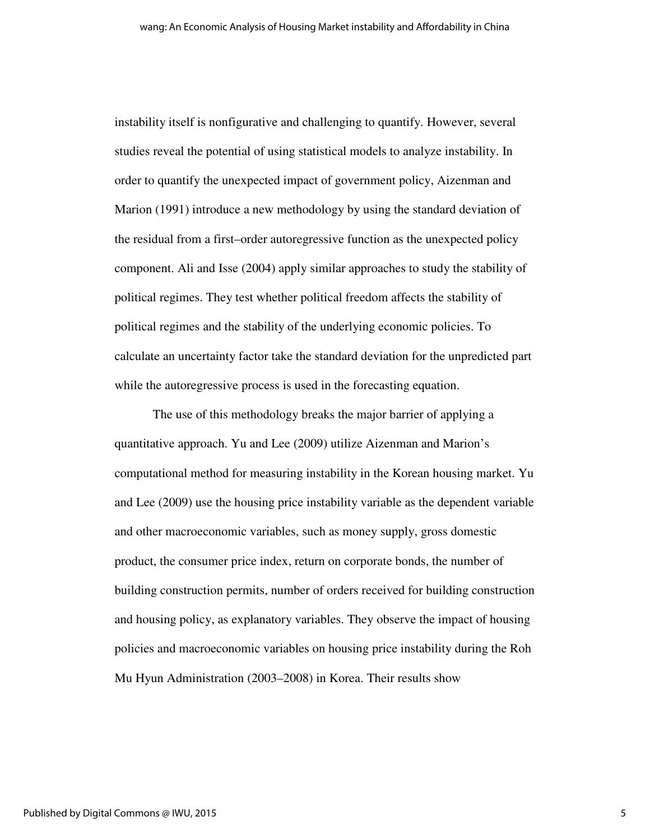instability itself is nonfigurative and challenging to quantify. However, several studies reveal the potential of using statistical models to analyze instability. In order to quantify the unexpected impact of government policy, Aizenman and Marion (1991) introduce a new methodology by using the standard deviation of the residual from a first–order autoregressive function as the unexpected policy component. Ali and Isse (2004) apply similar approaches to study the stability of political regimes. They test whether political freedom affects the stability of political regimes and the stability of the underlying economic policies. To calculate an uncertainty factor take the standard deviation for the unpredicted part while the autoregressive process is used in the forecasting equation.

 The use of this methodology breaks the major barrier of applying a quantitative approach. Yu and Lee (2009) utilize Aizenman and Marion's computational method for measuring instability in the Korean housing market. Yu and Lee (2009) use the housing price instability variable as the dependent variable and other macroeconomic variables, such as money supply, gross domestic product, the consumer price index, return on corporate bonds, the number of building construction permits, number of orders received for building construction and housing policy, as explanatory variables. They observe the impact of housing policies and macroeconomic variables on housing price instability during the Roh Mu Hyun Administration (2003–2008) in Korea. Their results show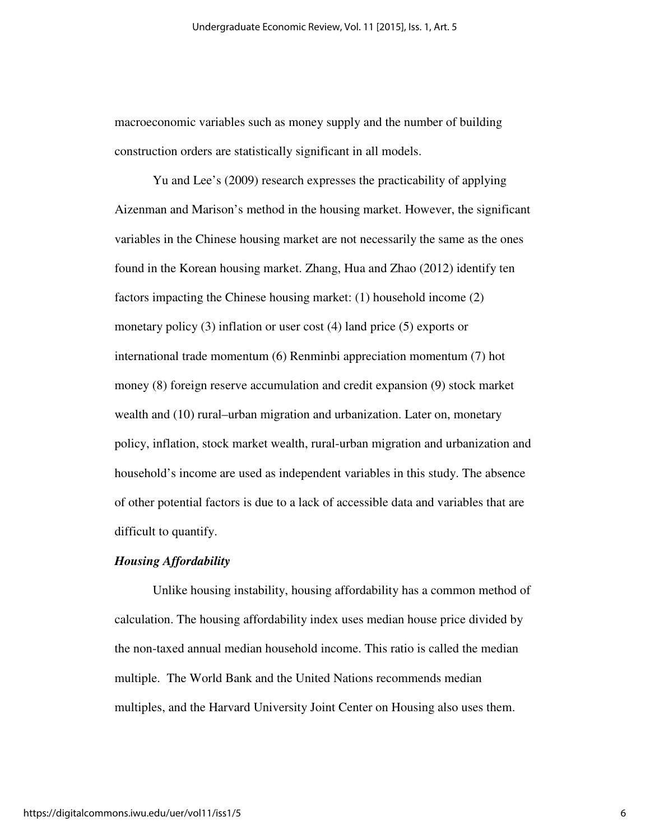macroeconomic variables such as money supply and the number of building construction orders are statistically significant in all models.

 Yu and Lee's (2009) research expresses the practicability of applying Aizenman and Marison's method in the housing market. However, the significant variables in the Chinese housing market are not necessarily the same as the ones found in the Korean housing market. Zhang, Hua and Zhao (2012) identify ten factors impacting the Chinese housing market: (1) household income (2) monetary policy (3) inflation or user cost (4) land price (5) exports or international trade momentum (6) Renminbi appreciation momentum (7) hot money (8) foreign reserve accumulation and credit expansion (9) stock market wealth and (10) rural–urban migration and urbanization. Later on, monetary policy, inflation, stock market wealth, rural-urban migration and urbanization and household's income are used as independent variables in this study. The absence of other potential factors is due to a lack of accessible data and variables that are difficult to quantify.

#### *Housing Affordability*

 Unlike housing instability, housing affordability has a common method of calculation. The housing affordability index uses median house price divided by the non-taxed annual median household income. This ratio is called the median multiple. The World Bank and the United Nations recommends median multiples, and the Harvard University Joint Center on Housing also uses them.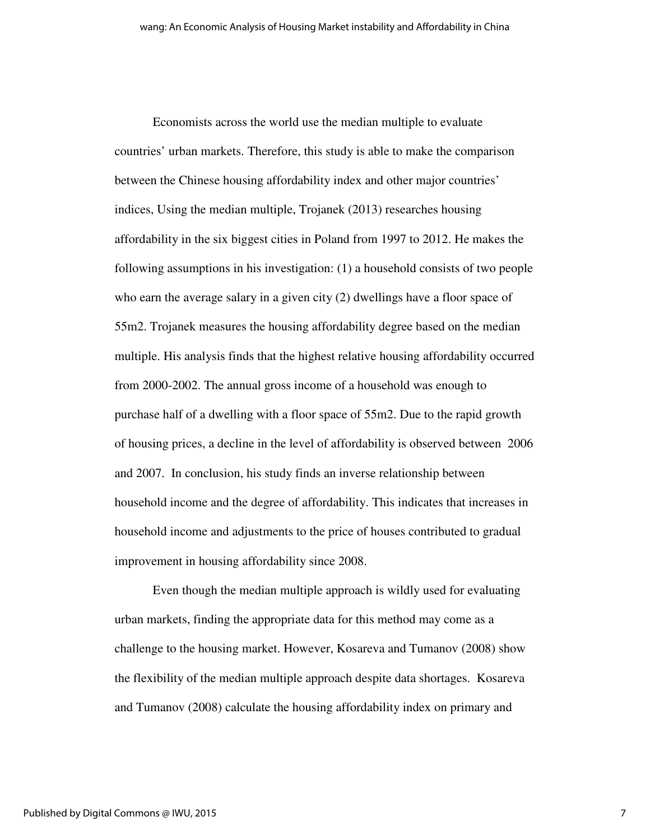Economists across the world use the median multiple to evaluate countries' urban markets. Therefore, this study is able to make the comparison between the Chinese housing affordability index and other major countries' indices, Using the median multiple, Trojanek (2013) researches housing affordability in the six biggest cities in Poland from 1997 to 2012. He makes the following assumptions in his investigation: (1) a household consists of two people who earn the average salary in a given city (2) dwellings have a floor space of 55m2. Trojanek measures the housing affordability degree based on the median multiple. His analysis finds that the highest relative housing affordability occurred from 2000-2002. The annual gross income of a household was enough to purchase half of a dwelling with a floor space of 55m2. Due to the rapid growth of housing prices, a decline in the level of affordability is observed between 2006 and 2007. In conclusion, his study finds an inverse relationship between household income and the degree of affordability. This indicates that increases in household income and adjustments to the price of houses contributed to gradual improvement in housing affordability since 2008.

 Even though the median multiple approach is wildly used for evaluating urban markets, finding the appropriate data for this method may come as a challenge to the housing market. However, Kosareva and Tumanov (2008) show the flexibility of the median multiple approach despite data shortages. Kosareva and Tumanov (2008) calculate the housing affordability index on primary and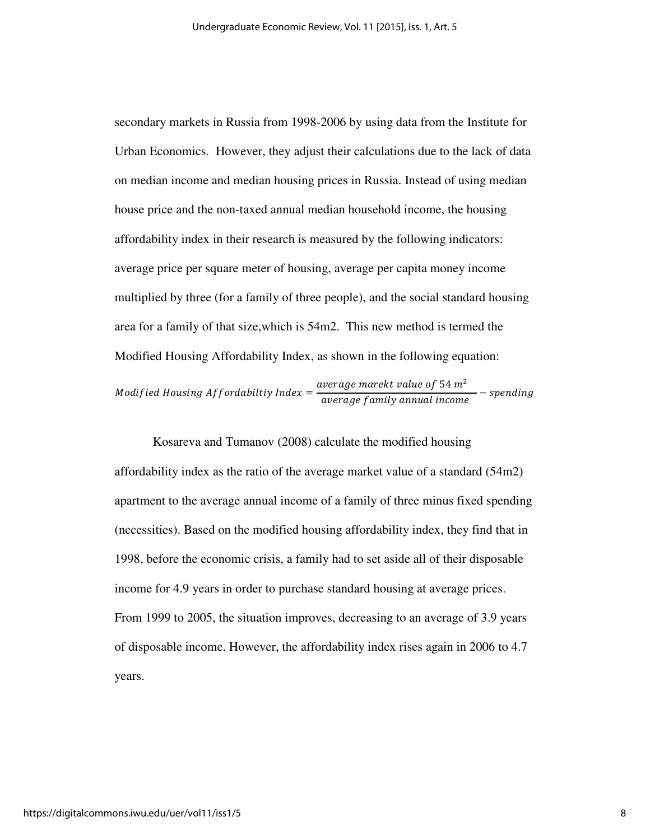secondary markets in Russia from 1998-2006 by using data from the Institute for Urban Economics. However, they adjust their calculations due to the lack of data on median income and median housing prices in Russia. Instead of using median house price and the non-taxed annual median household income, the housing affordability index in their research is measured by the following indicators: average price per square meter of housing, average per capita money income multiplied by three (for a family of three people), and the social standard housing area for a family of that size,which is 54m2. This new method is termed the Modified Housing Affordability Index, as shown in the following equation:

*Modified Housing Affordability Index* = 
$$
\frac{average\ market\ value\ of\ 54\ m^2}{average\ family\ annual\ income} - spending
$$

 Kosareva and Tumanov (2008) calculate the modified housing affordability index as the ratio of the average market value of a standard (54m2) apartment to the average annual income of a family of three minus fixed spending (necessities). Based on the modified housing affordability index, they find that in 1998, before the economic crisis, a family had to set aside all of their disposable income for 4.9 years in order to purchase standard housing at average prices. From 1999 to 2005, the situation improves, decreasing to an average of 3.9 years of disposable income. However, the affordability index rises again in 2006 to 4.7 years.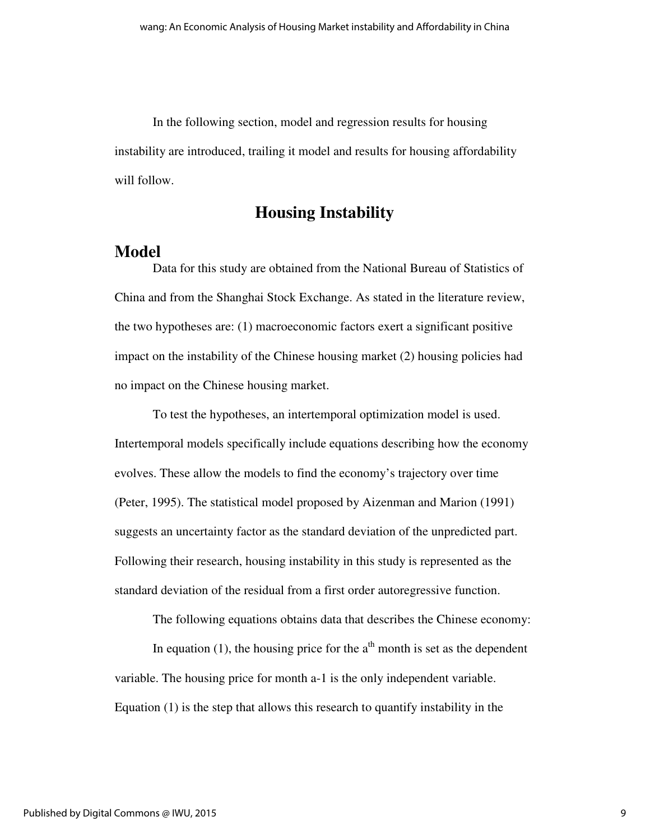In the following section, model and regression results for housing instability are introduced, trailing it model and results for housing affordability will follow.

## **Housing Instability**

### **Model**

Data for this study are obtained from the National Bureau of Statistics of China and from the Shanghai Stock Exchange. As stated in the literature review, the two hypotheses are: (1) macroeconomic factors exert a significant positive impact on the instability of the Chinese housing market (2) housing policies had no impact on the Chinese housing market.

To test the hypotheses, an intertemporal optimization model is used. Intertemporal models specifically include equations describing how the economy evolves. These allow the models to find the economy's trajectory over time (Peter, 1995). The statistical model proposed by Aizenman and Marion (1991) suggests an uncertainty factor as the standard deviation of the unpredicted part. Following their research, housing instability in this study is represented as the standard deviation of the residual from a first order autoregressive function.

The following equations obtains data that describes the Chinese economy:

In equation (1), the housing price for the  $a<sup>th</sup>$  month is set as the dependent variable. The housing price for month a-1 is the only independent variable. Equation (1) is the step that allows this research to quantify instability in the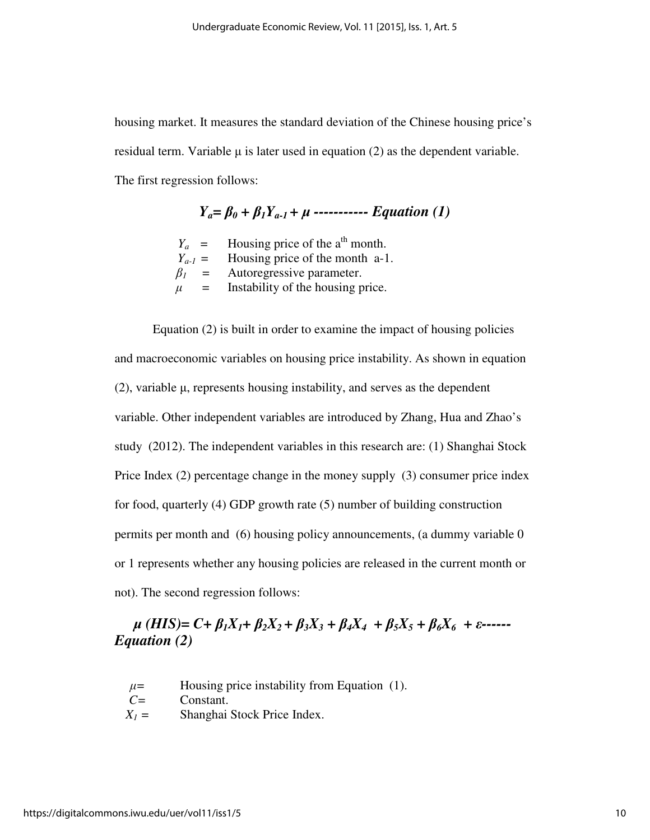housing market. It measures the standard deviation of the Chinese housing price's residual term. Variable  $\mu$  is later used in equation (2) as the dependent variable. The first regression follows:

 $Y_a = \beta_0 + \beta_1 Y_{a-1} + \mu$  ------------ *Equation (1)* 

 $Y_a$  = Housing price of the a<sup>th</sup> month.  $Y_{a-1}$  = Housing price of the month a-1.  $\beta_1$  = Autoregressive parameter.  $\mu$  = Instability of the housing price.

Equation (2) is built in order to examine the impact of housing policies and macroeconomic variables on housing price instability. As shown in equation (2), variable µ, represents housing instability, and serves as the dependent variable. Other independent variables are introduced by Zhang, Hua and Zhao's study (2012). The independent variables in this research are: (1) Shanghai Stock Price Index (2) percentage change in the money supply (3) consumer price index for food, quarterly (4) GDP growth rate (5) number of building construction permits per month and (6) housing policy announcements, (a dummy variable 0 or 1 represents whether any housing policies are released in the current month or not). The second regression follows:

## $\mu$  (HIS)= C+  $\beta_1 X_1 + \beta_2 X_2 + \beta_3 X_3 + \beta_4 X_4 + \beta_5 X_5 + \beta_6 X_6 + \varepsilon$ ------*Equation (2)*

 $\mu$ = Housing price instability from Equation (1).

*C=* Constant.

*X1 =* Shanghai Stock Price Index.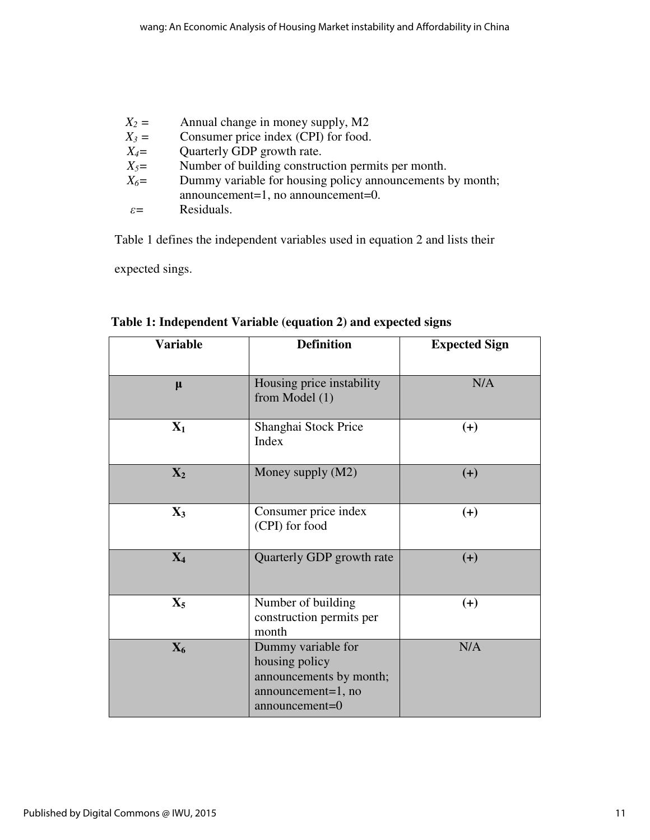| $X_2 =$         | Annual change in money supply, M2                         |
|-----------------|-----------------------------------------------------------|
| $X_3 =$         | Consumer price index (CPI) for food.                      |
| $X_4=$          | Quarterly GDP growth rate.                                |
| $X_5=$          | Number of building construction permits per month.        |
| $X_6=$          | Dummy variable for housing policy announcements by month; |
|                 | announcement=1, no announcement=0.                        |
| $\varepsilon$ = | Residuals.                                                |

Table 1 defines the independent variables used in equation 2 and lists their

expected sings.

| <b>Variable</b> | <b>Definition</b>                                                                                           | <b>Expected Sign</b> |
|-----------------|-------------------------------------------------------------------------------------------------------------|----------------------|
| $\mu$           | Housing price instability<br>from Model $(1)$                                                               | N/A                  |
| $\mathbf{X}_1$  | Shanghai Stock Price<br>Index                                                                               | $(+)$                |
| $\mathbf{X}_2$  | Money supply (M2)                                                                                           | $(+)$                |
| $\mathbf{X}_3$  | Consumer price index<br>(CPI) for food                                                                      | $(+)$                |
| $X_4$           | Quarterly GDP growth rate                                                                                   | $(+)$                |
| $\mathbf{X}_5$  | Number of building<br>construction permits per<br>month                                                     | $(+)$                |
| $\mathbf{X}_6$  | Dummy variable for<br>housing policy<br>announcements by month;<br>announcement=1, no<br>$announcement = 0$ | N/A                  |

**Table 1: Independent Variable (equation 2) and expected signs**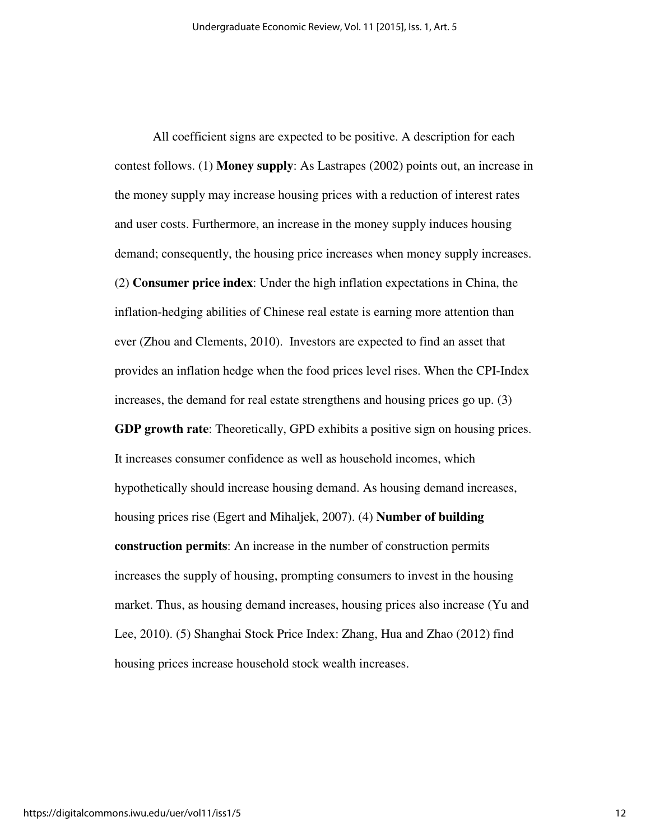All coefficient signs are expected to be positive. A description for each contest follows. (1) **Money supply**: As Lastrapes (2002) points out, an increase in the money supply may increase housing prices with a reduction of interest rates and user costs. Furthermore, an increase in the money supply induces housing demand; consequently, the housing price increases when money supply increases. (2) **Consumer price index**: Under the high inflation expectations in China, the inflation-hedging abilities of Chinese real estate is earning more attention than ever (Zhou and Clements, 2010). Investors are expected to find an asset that provides an inflation hedge when the food prices level rises. When the CPI-Index increases, the demand for real estate strengthens and housing prices go up. (3) **GDP growth rate**: Theoretically, GPD exhibits a positive sign on housing prices. It increases consumer confidence as well as household incomes, which hypothetically should increase housing demand. As housing demand increases, housing prices rise (Egert and Mihaljek, 2007). (4) **Number of building construction permits**: An increase in the number of construction permits increases the supply of housing, prompting consumers to invest in the housing market. Thus, as housing demand increases, housing prices also increase (Yu and Lee, 2010). (5) Shanghai Stock Price Index: Zhang, Hua and Zhao (2012) find housing prices increase household stock wealth increases.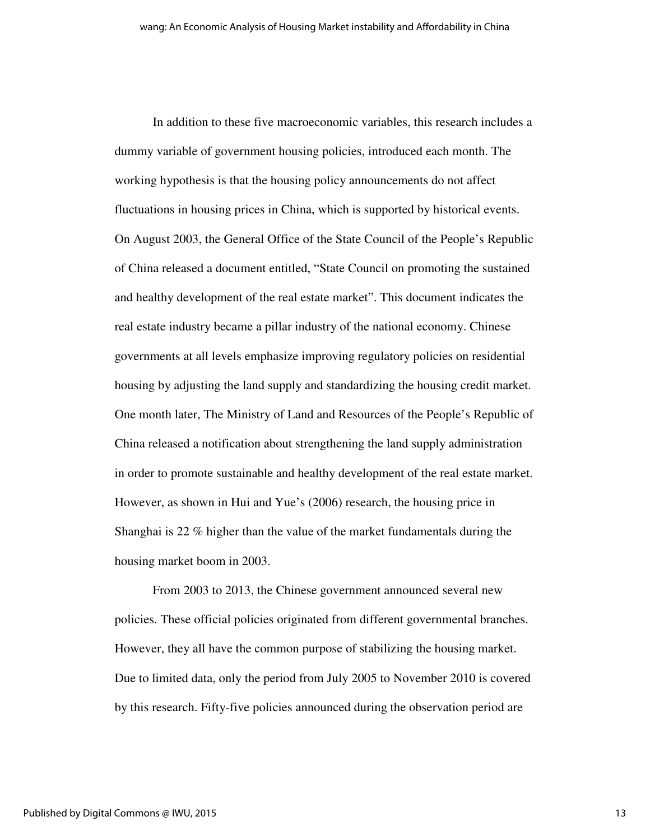In addition to these five macroeconomic variables, this research includes a dummy variable of government housing policies, introduced each month. The working hypothesis is that the housing policy announcements do not affect fluctuations in housing prices in China, which is supported by historical events. On August 2003, the General Office of the State Council of the People's Republic of China released a document entitled, "State Council on promoting the sustained and healthy development of the real estate market". This document indicates the real estate industry became a pillar industry of the national economy. Chinese governments at all levels emphasize improving regulatory policies on residential housing by adjusting the land supply and standardizing the housing credit market. One month later, The Ministry of Land and Resources of the People's Republic of China released a notification about strengthening the land supply administration in order to promote sustainable and healthy development of the real estate market. However, as shown in Hui and Yue's (2006) research, the housing price in Shanghai is 22 % higher than the value of the market fundamentals during the housing market boom in 2003.

From 2003 to 2013, the Chinese government announced several new policies. These official policies originated from different governmental branches. However, they all have the common purpose of stabilizing the housing market. Due to limited data, only the period from July 2005 to November 2010 is covered by this research. Fifty-five policies announced during the observation period are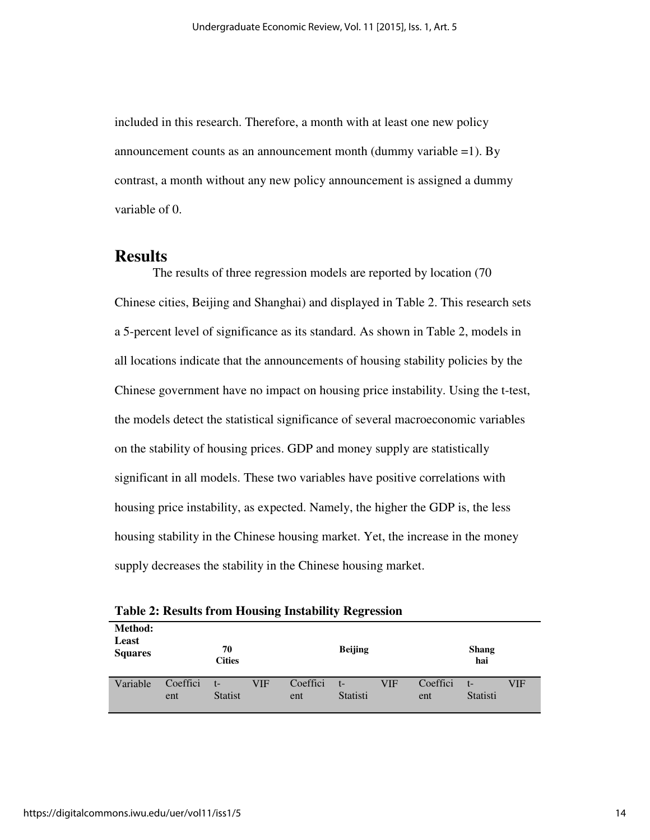included in this research. Therefore, a month with at least one new policy announcement counts as an announcement month (dummy variable  $=1$ ). By contrast, a month without any new policy announcement is assigned a dummy variable of 0.

#### **Results**

The results of three regression models are reported by location (70 Chinese cities, Beijing and Shanghai) and displayed in Table 2. This research sets a 5-percent level of significance as its standard. As shown in Table 2, models in all locations indicate that the announcements of housing stability policies by the Chinese government have no impact on housing price instability. Using the t-test, the models detect the statistical significance of several macroeconomic variables on the stability of housing prices. GDP and money supply are statistically significant in all models. These two variables have positive correlations with housing price instability, as expected. Namely, the higher the GDP is, the less housing stability in the Chinese housing market. Yet, the increase in the money supply decreases the stability in the Chinese housing market.

| Method:<br>Least<br><b>Squares</b> | 70<br><b>Cities</b> |                        |     |                 | <b>Beijing</b>   |     |                 | <b>Shang</b><br>hai |     |
|------------------------------------|---------------------|------------------------|-----|-----------------|------------------|-----|-----------------|---------------------|-----|
| Variable                           | Coeffici<br>ent     | $t-$<br><b>Statist</b> | VIF | Coeffici<br>ent | $t-$<br>Statisti | VIF | Coeffici<br>ent | $t-$<br>Statisti    | VIF |

**Table 2: Results from Housing Instability Regression**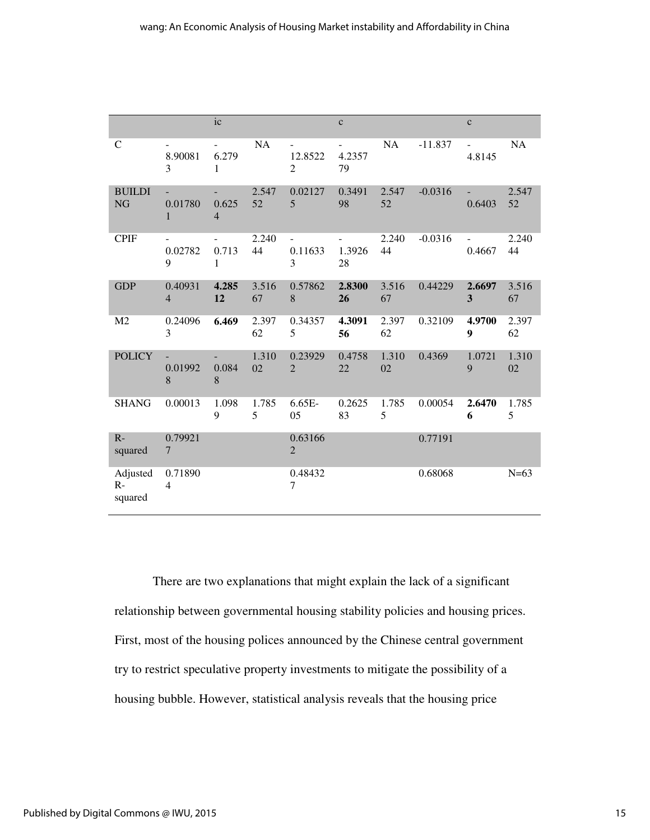|                             |                                                | ic                                                    |             |                                | $\mathbf c$  |             |           | $\mathbf{C}$                  |             |
|-----------------------------|------------------------------------------------|-------------------------------------------------------|-------------|--------------------------------|--------------|-------------|-----------|-------------------------------|-------------|
| ${\bf C}$                   | 8.90081<br>3                                   | $\qquad \qquad \blacksquare$<br>6.279<br>$\mathbf{1}$ | NA          | 12.8522<br>$\overline{2}$      | 4.2357<br>79 | NA          | $-11.837$ | $\blacksquare$<br>4.8145      | <b>NA</b>   |
| <b>BUILDI</b><br><b>NG</b>  | $\omega_{\rm{eff}}$<br>0.01780<br>$\mathbf{1}$ | 0.625<br>$\overline{4}$                               | 2.547<br>52 | 0.02127<br>5                   | 0.3491<br>98 | 2.547<br>52 | $-0.0316$ | $\omega_{\rm{eff}}$<br>0.6403 | 2.547<br>52 |
| <b>CPIF</b>                 | 0.02782<br>9                                   | 0.713<br>$\mathbf{1}$                                 | 2.240<br>44 | $\blacksquare$<br>0.11633<br>3 | 1.3926<br>28 | 2.240<br>44 | $-0.0316$ | $\blacksquare$<br>0.4667      | 2.240<br>44 |
| <b>GDP</b>                  | 0.40931<br>$\overline{4}$                      | 4.285<br>12                                           | 3.516<br>67 | 0.57862<br>8                   | 2.8300<br>26 | 3.516<br>67 | 0.44229   | 2.6697<br>3                   | 3.516<br>67 |
| M <sub>2</sub>              | 0.24096<br>3                                   | 6.469                                                 | 2.397<br>62 | 0.34357<br>5                   | 4.3091<br>56 | 2.397<br>62 | 0.32109   | 4.9700<br>9                   | 2.397<br>62 |
| <b>POLICY</b>               | $\blacksquare$<br>0.01992<br>8                 | 0.084<br>8                                            | 1.310<br>02 | 0.23929<br>$\overline{2}$      | 0.4758<br>22 | 1.310<br>02 | 0.4369    | 1.0721<br>9                   | 1.310<br>02 |
| <b>SHANG</b>                | 0.00013                                        | 1.098<br>9                                            | 1.785<br>5  | 6.65E-<br>05                   | 0.2625<br>83 | 1.785<br>5  | 0.00054   | 2.6470<br>6                   | 1.785<br>5  |
| $R -$<br>squared            | 0.79921<br>$\overline{7}$                      |                                                       |             | 0.63166<br>$\overline{2}$      |              |             | 0.77191   |                               |             |
| Adjusted<br>$R-$<br>squared | 0.71890<br>4                                   |                                                       |             | 0.48432<br>7                   |              |             | 0.68068   |                               | $N=63$      |

There are two explanations that might explain the lack of a significant relationship between governmental housing stability policies and housing prices. First, most of the housing polices announced by the Chinese central government try to restrict speculative property investments to mitigate the possibility of a housing bubble. However, statistical analysis reveals that the housing price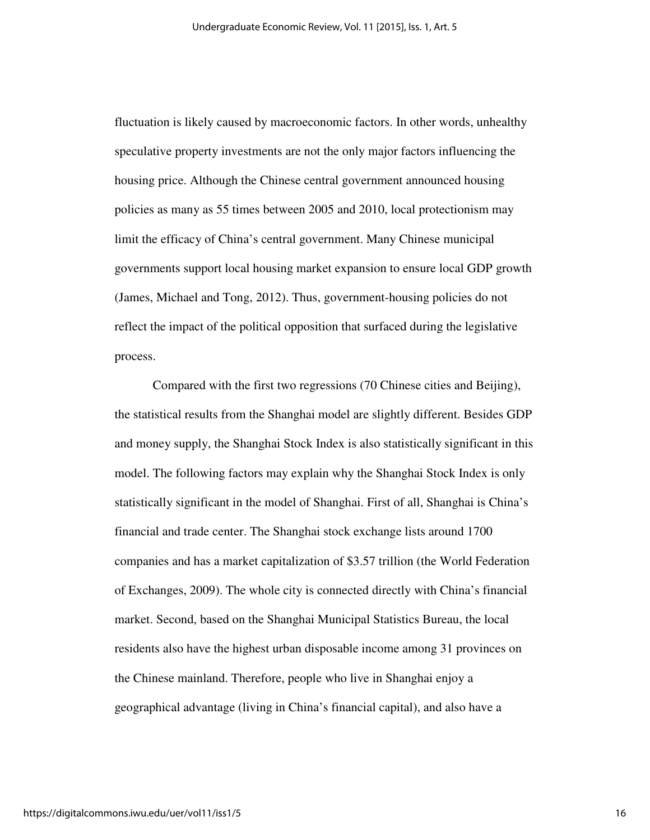fluctuation is likely caused by macroeconomic factors. In other words, unhealthy speculative property investments are not the only major factors influencing the housing price. Although the Chinese central government announced housing policies as many as 55 times between 2005 and 2010, local protectionism may limit the efficacy of China's central government. Many Chinese municipal governments support local housing market expansion to ensure local GDP growth (James, Michael and Tong, 2012). Thus, government-housing policies do not reflect the impact of the political opposition that surfaced during the legislative process.

Compared with the first two regressions (70 Chinese cities and Beijing), the statistical results from the Shanghai model are slightly different. Besides GDP and money supply, the Shanghai Stock Index is also statistically significant in this model. The following factors may explain why the Shanghai Stock Index is only statistically significant in the model of Shanghai. First of all, Shanghai is China's financial and trade center. The Shanghai stock exchange lists around 1700 companies and has a market capitalization of \$3.57 trillion (the World Federation of Exchanges, 2009). The whole city is connected directly with China's financial market. Second, based on the Shanghai Municipal Statistics Bureau, the local residents also have the highest urban disposable income among 31 provinces on the Chinese mainland. Therefore, people who live in Shanghai enjoy a geographical advantage (living in China's financial capital), and also have a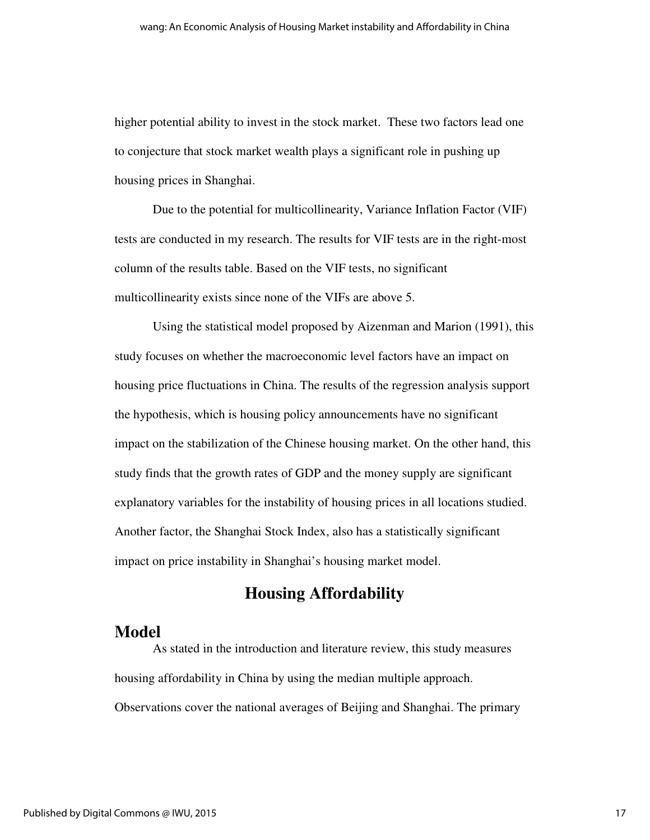higher potential ability to invest in the stock market. These two factors lead one to conjecture that stock market wealth plays a significant role in pushing up housing prices in Shanghai.

Due to the potential for multicollinearity, Variance Inflation Factor (VIF) tests are conducted in my research. The results for VIF tests are in the right-most column of the results table. Based on the VIF tests, no significant multicollinearity exists since none of the VIFs are above 5.

 Using the statistical model proposed by Aizenman and Marion (1991), this study focuses on whether the macroeconomic level factors have an impact on housing price fluctuations in China. The results of the regression analysis support the hypothesis, which is housing policy announcements have no significant impact on the stabilization of the Chinese housing market. On the other hand, this study finds that the growth rates of GDP and the money supply are significant explanatory variables for the instability of housing prices in all locations studied. Another factor, the Shanghai Stock Index, also has a statistically significant impact on price instability in Shanghai's housing market model.

# **Housing Affordability**

### **Model**

 As stated in the introduction and literature review, this study measures housing affordability in China by using the median multiple approach. Observations cover the national averages of Beijing and Shanghai. The primary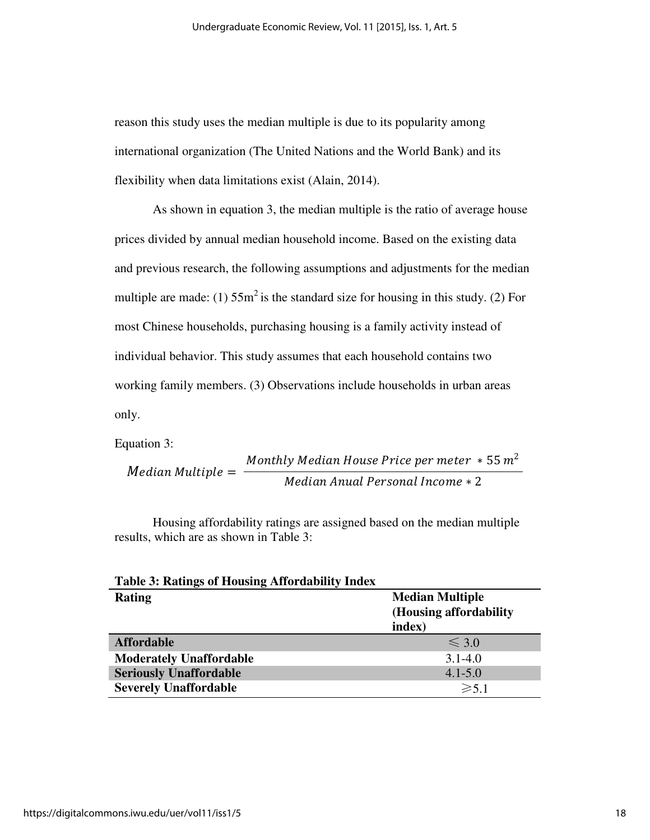reason this study uses the median multiple is due to its popularity among international organization (The United Nations and the World Bank) and its flexibility when data limitations exist (Alain, 2014).

As shown in equation 3, the median multiple is the ratio of average house prices divided by annual median household income. Based on the existing data and previous research, the following assumptions and adjustments for the median multiple are made: (1)  $55m^2$  is the standard size for housing in this study. (2) For most Chinese households, purchasing housing is a family activity instead of individual behavior. This study assumes that each household contains two working family members. (3) Observations include households in urban areas only.

Equation 3:

Median Multiple = 
$$
\frac{Monthly Median House Price per meter * 55 m^2}{Median Annual Personal Income * 2}
$$

Housing affordability ratings are assigned based on the median multiple results, which are as shown in Table 3:

| <b>Table 3: Ratings of Housing Affordability Index</b> |                         |
|--------------------------------------------------------|-------------------------|
| <b>Rating</b>                                          | <b>Median Multiple</b>  |
|                                                        | (Housing affordability) |
|                                                        | index)                  |
| <b>Affordable</b>                                      | $\leq 3.0$              |
| <b>Moderately Unaffordable</b>                         | $3.1 - 4.0$             |
| <b>Seriously Unaffordable</b>                          | $4.1 - 5.0$             |
| <b>Severely Unaffordable</b>                           | $\geq 5.1$              |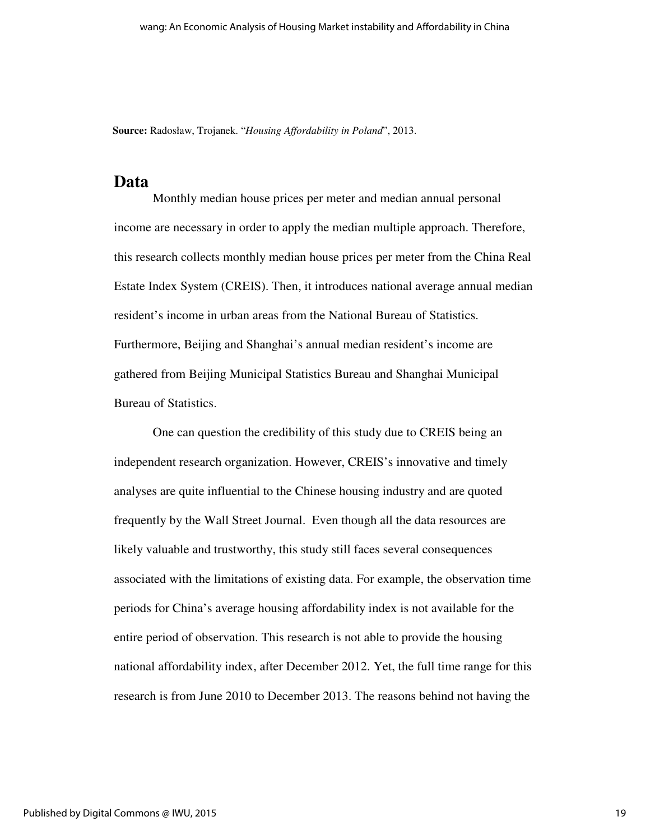**Source:** Radosław, Trojanek. "*Housing Affordability in Poland*", 2013.

#### **Data**

Monthly median house prices per meter and median annual personal income are necessary in order to apply the median multiple approach. Therefore, this research collects monthly median house prices per meter from the China Real Estate Index System (CREIS). Then, it introduces national average annual median resident's income in urban areas from the National Bureau of Statistics. Furthermore, Beijing and Shanghai's annual median resident's income are gathered from Beijing Municipal Statistics Bureau and Shanghai Municipal Bureau of Statistics.

One can question the credibility of this study due to CREIS being an independent research organization. However, CREIS's innovative and timely analyses are quite influential to the Chinese housing industry and are quoted frequently by the Wall Street Journal. Even though all the data resources are likely valuable and trustworthy, this study still faces several consequences associated with the limitations of existing data. For example, the observation time periods for China's average housing affordability index is not available for the entire period of observation. This research is not able to provide the housing national affordability index, after December 2012. Yet, the full time range for this research is from June 2010 to December 2013. The reasons behind not having the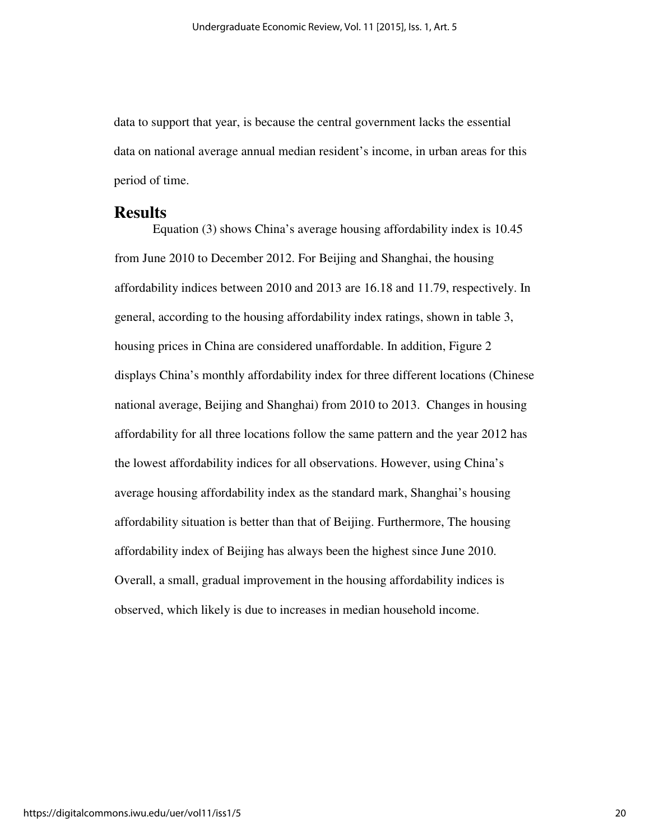data to support that year, is because the central government lacks the essential data on national average annual median resident's income, in urban areas for this period of time.

#### **Results**

Equation (3) shows China's average housing affordability index is 10.45 from June 2010 to December 2012. For Beijing and Shanghai, the housing affordability indices between 2010 and 2013 are 16.18 and 11.79, respectively. In general, according to the housing affordability index ratings, shown in table 3, housing prices in China are considered unaffordable. In addition, Figure 2 displays China's monthly affordability index for three different locations (Chinese national average, Beijing and Shanghai) from 2010 to 2013. Changes in housing affordability for all three locations follow the same pattern and the year 2012 has the lowest affordability indices for all observations. However, using China's average housing affordability index as the standard mark, Shanghai's housing affordability situation is better than that of Beijing. Furthermore, The housing affordability index of Beijing has always been the highest since June 2010. Overall, a small, gradual improvement in the housing affordability indices is observed, which likely is due to increases in median household income.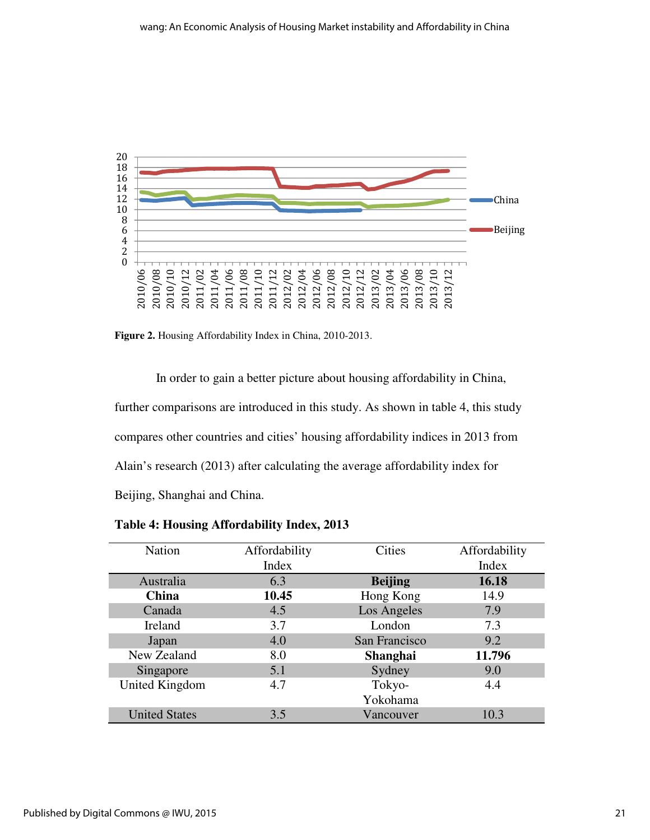

**Figure 2.** Housing Affordability Index in China, 2010-2013.

 In order to gain a better picture about housing affordability in China, further comparisons are introduced in this study. As shown in table 4, this study compares other countries and cities' housing affordability indices in 2013 from Alain's research (2013) after calculating the average affordability index for Beijing, Shanghai and China.

| <b>Nation</b>        | Affordability | <b>Cities</b>   | Affordability |
|----------------------|---------------|-----------------|---------------|
|                      | Index         |                 | Index         |
| Australia            | 6.3           | <b>Beijing</b>  | 16.18         |
| <b>China</b>         | 10.45         | Hong Kong       | 14.9          |
| Canada               | 4.5           | Los Angeles     | 7.9           |
| Ireland              | 3.7           | London          | 7.3           |
| Japan                | 4.0           | San Francisco   | 9.2           |
| New Zealand          | 8.0           | <b>Shanghai</b> | 11.796        |
| Singapore            | 5.1           | Sydney          | 9.0           |
| United Kingdom       | 4.7           | Tokyo-          | 4.4           |
|                      |               | Yokohama        |               |
| <b>United States</b> | 3.5           | Vancouver       | 10.3          |

**Table 4: Housing Affordability Index, 2013**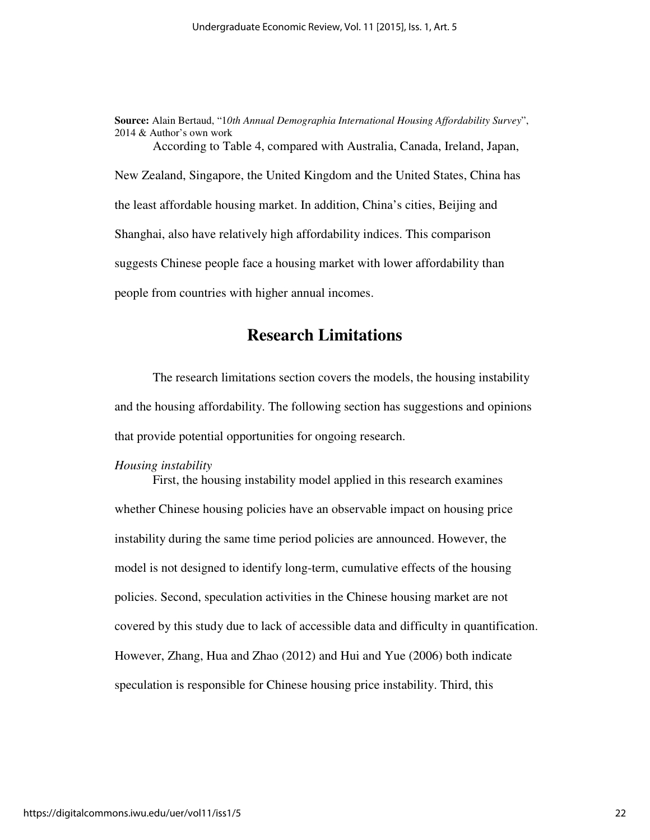**Source:** Alain Bertaud, "1*0th Annual Demographia International Housing Affordability Survey*", 2014 & Author's own work According to Table 4, compared with Australia, Canada, Ireland, Japan, New Zealand, Singapore, the United Kingdom and the United States, China has the least affordable housing market. In addition, China's cities, Beijing and Shanghai, also have relatively high affordability indices. This comparison suggests Chinese people face a housing market with lower affordability than people from countries with higher annual incomes.

### **Research Limitations**

 The research limitations section covers the models, the housing instability and the housing affordability. The following section has suggestions and opinions that provide potential opportunities for ongoing research.

#### *Housing instability*

First, the housing instability model applied in this research examines whether Chinese housing policies have an observable impact on housing price instability during the same time period policies are announced. However, the model is not designed to identify long-term, cumulative effects of the housing policies. Second, speculation activities in the Chinese housing market are not covered by this study due to lack of accessible data and difficulty in quantification. However, Zhang, Hua and Zhao (2012) and Hui and Yue (2006) both indicate speculation is responsible for Chinese housing price instability. Third, this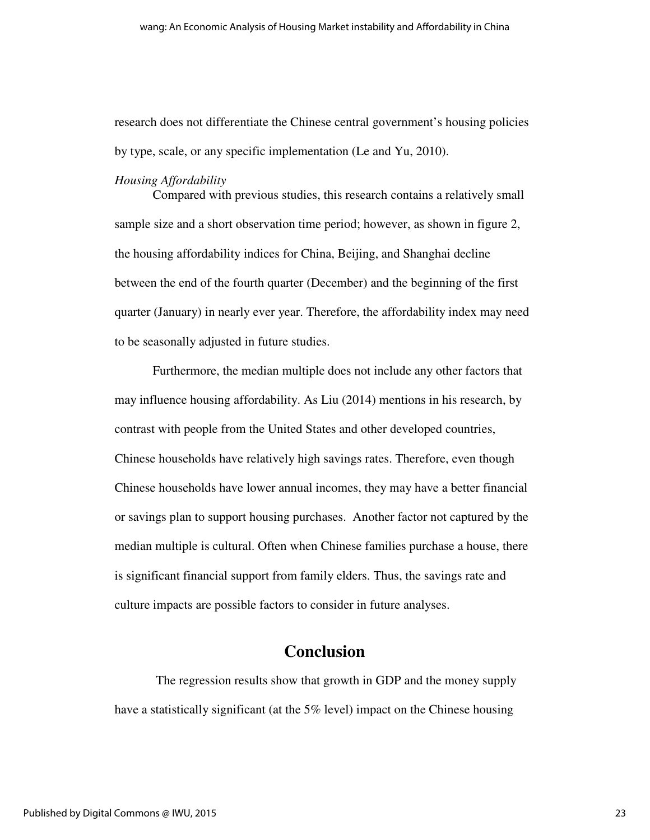research does not differentiate the Chinese central government's housing policies by type, scale, or any specific implementation (Le and Yu, 2010).

#### *Housing Affordability*

Compared with previous studies, this research contains a relatively small sample size and a short observation time period; however, as shown in figure 2, the housing affordability indices for China, Beijing, and Shanghai decline between the end of the fourth quarter (December) and the beginning of the first quarter (January) in nearly ever year. Therefore, the affordability index may need to be seasonally adjusted in future studies.

 Furthermore, the median multiple does not include any other factors that may influence housing affordability. As Liu (2014) mentions in his research, by contrast with people from the United States and other developed countries, Chinese households have relatively high savings rates. Therefore, even though Chinese households have lower annual incomes, they may have a better financial or savings plan to support housing purchases. Another factor not captured by the median multiple is cultural. Often when Chinese families purchase a house, there is significant financial support from family elders. Thus, the savings rate and culture impacts are possible factors to consider in future analyses.

# **Conclusion**

 The regression results show that growth in GDP and the money supply have a statistically significant (at the 5% level) impact on the Chinese housing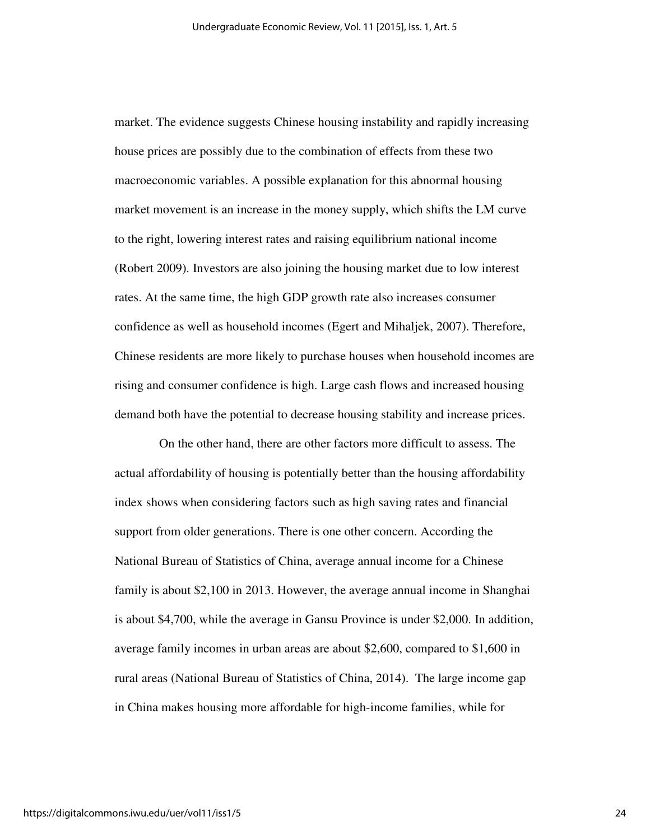market. The evidence suggests Chinese housing instability and rapidly increasing house prices are possibly due to the combination of effects from these two macroeconomic variables. A possible explanation for this abnormal housing market movement is an increase in the money supply, which shifts the LM curve to the right, lowering interest rates and raising equilibrium national income (Robert 2009). Investors are also joining the housing market due to low interest rates. At the same time, the high GDP growth rate also increases consumer confidence as well as household incomes (Egert and Mihaljek, 2007). Therefore, Chinese residents are more likely to purchase houses when household incomes are rising and consumer confidence is high. Large cash flows and increased housing demand both have the potential to decrease housing stability and increase prices.

 On the other hand, there are other factors more difficult to assess. The actual affordability of housing is potentially better than the housing affordability index shows when considering factors such as high saving rates and financial support from older generations. There is one other concern. According the National Bureau of Statistics of China, average annual income for a Chinese family is about \$2,100 in 2013. However, the average annual income in Shanghai is about \$4,700, while the average in Gansu Province is under \$2,000. In addition, average family incomes in urban areas are about \$2,600, compared to \$1,600 in rural areas (National Bureau of Statistics of China, 2014). The large income gap in China makes housing more affordable for high-income families, while for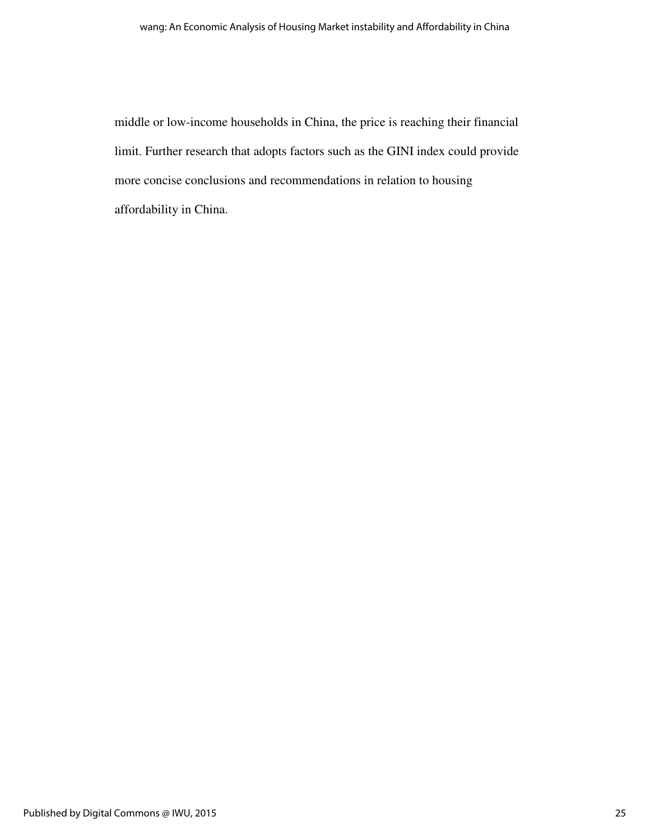middle or low-income households in China, the price is reaching their financial limit. Further research that adopts factors such as the GINI index could provide more concise conclusions and recommendations in relation to housing affordability in China.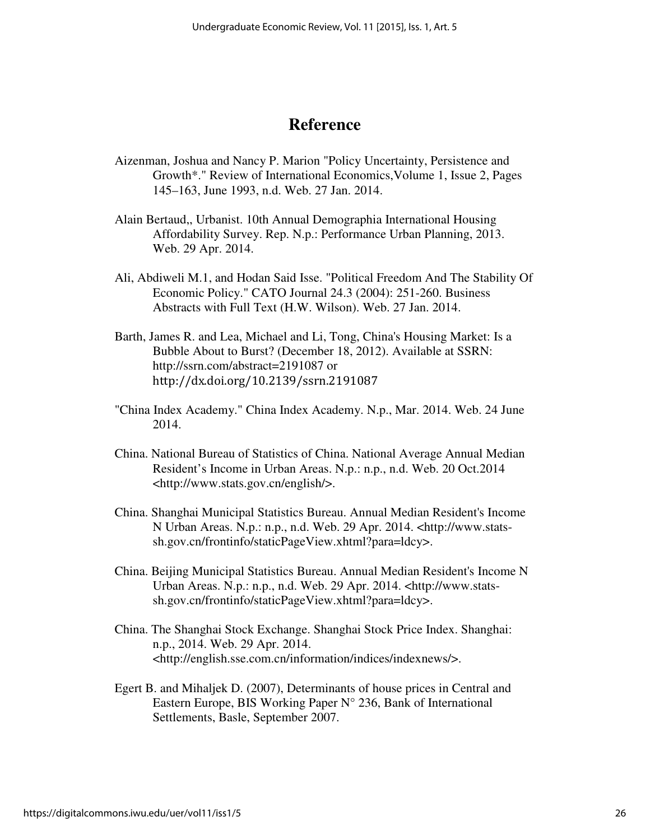# **Reference**

- Aizenman, Joshua and Nancy P. Marion "Policy Uncertainty, Persistence and Growth\*." Review of International Economics,Volume 1, Issue 2, Pages 145–163, June 1993, n.d. Web. 27 Jan. 2014.
- Alain Bertaud,, Urbanist. 10th Annual Demographia International Housing Affordability Survey. Rep. N.p.: Performance Urban Planning, 2013. Web. 29 Apr. 2014.
- Ali, Abdiweli M.1, and Hodan Said Isse. "Political Freedom And The Stability Of Economic Policy." CATO Journal 24.3 (2004): 251-260. Business Abstracts with Full Text (H.W. Wilson). Web. 27 Jan. 2014.
- Barth, James R. and Lea, Michael and Li, Tong, China's Housing Market: Is a Bubble About to Burst? (December 18, 2012). Available at SSRN: http://ssrn.com/abstract=2191087 or http://dx.doi.org/10.2139/ssrn.2191087
- "China Index Academy." China Index Academy. N.p., Mar. 2014. Web. 24 June 2014.
- China. National Bureau of Statistics of China. National Average Annual Median Resident's Income in Urban Areas. N.p.: n.p., n.d. Web. 20 Oct.2014 <http://www.stats.gov.cn/english/>.
- China. Shanghai Municipal Statistics Bureau. Annual Median Resident's Income N Urban Areas. N.p.: n.p., n.d. Web. 29 Apr. 2014. <http://www.statssh.gov.cn/frontinfo/staticPageView.xhtml?para=ldcy>.
- China. Beijing Municipal Statistics Bureau. Annual Median Resident's Income N Urban Areas. N.p.: n.p., n.d. Web. 29 Apr. 2014. <http://www.statssh.gov.cn/frontinfo/staticPageView.xhtml?para=ldcy>.
- China. The Shanghai Stock Exchange. Shanghai Stock Price Index. Shanghai: n.p., 2014. Web. 29 Apr. 2014. <http://english.sse.com.cn/information/indices/indexnews/>.
- Egert B. and Mihaljek D. (2007), Determinants of house prices in Central and Eastern Europe, BIS Working Paper  $N^{\circ}$  236, Bank of International Settlements, Basle, September 2007.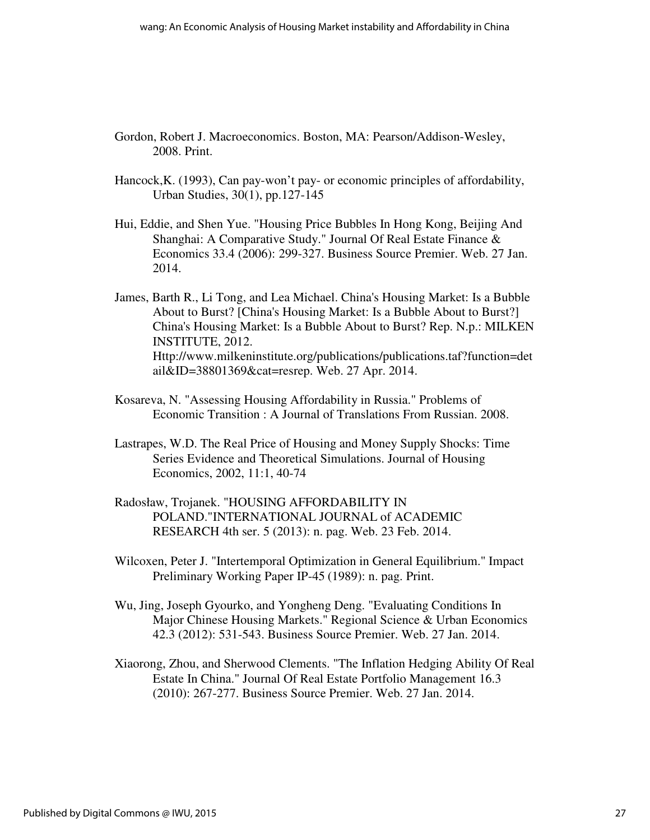- Gordon, Robert J. Macroeconomics. Boston, MA: Pearson/Addison-Wesley, 2008. Print.
- Hancock,K. (1993), Can pay-won't pay- or economic principles of affordability, Urban Studies, 30(1), pp.127-145
- Hui, Eddie, and Shen Yue. "Housing Price Bubbles In Hong Kong, Beijing And Shanghai: A Comparative Study." Journal Of Real Estate Finance & Economics 33.4 (2006): 299-327. Business Source Premier. Web. 27 Jan. 2014.
- James, Barth R., Li Tong, and Lea Michael. China's Housing Market: Is a Bubble About to Burst? [China's Housing Market: Is a Bubble About to Burst?] China's Housing Market: Is a Bubble About to Burst? Rep. N.p.: MILKEN INSTITUTE, 2012. Http://www.milkeninstitute.org/publications/publications.taf?function=det ail&ID=38801369&cat=resrep. Web. 27 Apr. 2014.
- Kosareva, N. "Assessing Housing Affordability in Russia." Problems of Economic Transition : A Journal of Translations From Russian. 2008.
- Lastrapes, W.D. The Real Price of Housing and Money Supply Shocks: Time Series Evidence and Theoretical Simulations. Journal of Housing Economics, 2002, 11:1, 40-74
- Radosław, Trojanek. "HOUSING AFFORDABILITY IN POLAND."INTERNATIONAL JOURNAL of ACADEMIC RESEARCH 4th ser. 5 (2013): n. pag. Web. 23 Feb. 2014.
- Wilcoxen, Peter J. "Intertemporal Optimization in General Equilibrium." Impact Preliminary Working Paper IP-45 (1989): n. pag. Print.
- Wu, Jing, Joseph Gyourko, and Yongheng Deng. "Evaluating Conditions In Major Chinese Housing Markets." Regional Science & Urban Economics 42.3 (2012): 531-543. Business Source Premier. Web. 27 Jan. 2014.
- Xiaorong, Zhou, and Sherwood Clements. "The Inflation Hedging Ability Of Real Estate In China." Journal Of Real Estate Portfolio Management 16.3 (2010): 267-277. Business Source Premier. Web. 27 Jan. 2014.